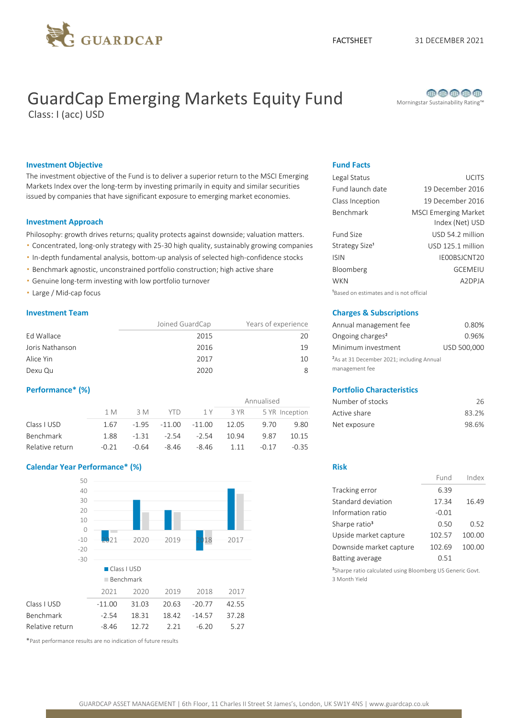

# GuardCap Emerging Markets Equity Fund Morningstar Sustainability Rating™

Class: I (acc) USD



### **Investment Objective Fund Facts** Fund Facts

The investment objective of the Fund is to deliver a superior return to the MSCI Emerging Markets Index over the long-term by investing primarily in equity and similar securities issued by companies that have significant exposure to emerging market economies.

#### Investment Approach

Philosophy: growth drives returns; quality protects against downside; valuation matters.

- Concentrated, long-only strategy with 25-30 high quality, sustainably growing companies
- . In-depth fundamental analysis, bottom-up analysis of selected high-confidence stocks
- Benchmark agnostic, unconstrained portfolio construction; high active share
- Genuine long-term investing with low portfolio turnover
- **Large / Mid-cap focus blue and is not official blue and is not official blue and is not official blue and is not official**

|                 | Joined GuardCap | Years of experience | Annual management fee                                 | 0.80%       |
|-----------------|-----------------|---------------------|-------------------------------------------------------|-------------|
| Ed Wallace      | 2015            | 20                  | Ongoing charges <sup>2</sup>                          | 0.96%       |
| Joris Nathanson | 2016            | 19                  | Minimum investment                                    | USD 500,000 |
| Alice Yin       | 2017            | 10                  | <sup>2</sup> As at 31 December 2021; including Annual |             |
| Dexu Qu         | 2020            |                     | management fee                                        |             |

|                  |         |         |          |         |       | Annualised |                | Number of stocks | 26    |
|------------------|---------|---------|----------|---------|-------|------------|----------------|------------------|-------|
|                  | 1 M     | 3 M     | YTD.     | 1 Y     | 3 YR  |            | 5 YR Inception | Active share     | 83.2% |
| Class I USD      | 1.67    | $-1.95$ | $-11.00$ | -11.00  | 12.05 | 9.70       | 9.80           | Net exposure     | 98.6% |
| <b>Benchmark</b> | 1.88    | $-1.31$ | $-2.54$  | $-2.54$ | 10.94 | 9.87       | 10.15          |                  |       |
| Relative return  | $-0.21$ | $-0.64$ | $-8.46$  | $-8.46$ | 1.11  | $-0.17$    | $-0.35$        |                  |       |

### Calendar Year Performance\* (%) Risk



\*Past performance results are no indication of future results

| Legal Status               | <b>UCITS</b>                                   |
|----------------------------|------------------------------------------------|
| Fund launch date           | 19 December 2016                               |
| Class Inception            | 19 December 2016                               |
| Benchmark                  | <b>MSCI Emerging Market</b><br>Index (Net) USD |
| Fund Size                  | USD 54.2 million                               |
| Strategy Size <sup>1</sup> | USD 125.1 million                              |
| <b>ISIN</b>                | IE00BSJCNT20                                   |
| Bloomberg                  | <b>GCEMEIU</b>                                 |
| <b>WKN</b>                 | A2DPJA                                         |
| 1.                         |                                                |

### **Investment Team Charges & Subscriptions**

| Annual management fee                                                   | 0.80%       |
|-------------------------------------------------------------------------|-------------|
| Ongoing charges <sup>2</sup>                                            | 0.96%       |
| Minimum investment                                                      | USD 500,000 |
| <sup>2</sup> As at 31 December 2021; including Annual<br>management fee |             |

### Performance\* (%) Portfolio Characteristics

| Number of stocks | 26.   |
|------------------|-------|
| Active share     | 83.2% |
| Net exposure     | 98.6% |

|                           | Fund    | Index  |
|---------------------------|---------|--------|
| Tracking error            | 6.39    |        |
| Standard deviation        | 17.34   | 16.49  |
| Information ratio         | $-0.01$ |        |
| Sharpe ratio <sup>3</sup> | 0.50    | 0.52   |
| Upside market capture     | 102.57  | 100.00 |
| Downside market capture   | 102.69  | 100.00 |
| Batting average           | በ 51    |        |

<sup>3</sup>Sharpe ratio calculated using Bloomberg US Generic Govt. 3 Month Yield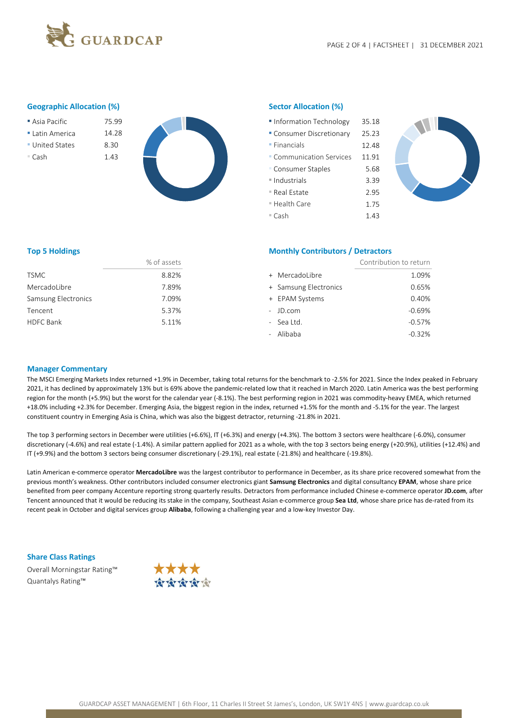

#### Geographic Allocation (%) Sector Allocation (%)

- 
- Latin America 14.28
- United States 8.30
- 



| Asia Pacific  | 75.99 | Information Technology    | 35.18 |
|---------------|-------|---------------------------|-------|
| Latin America | 14.28 | • Consumer Discretionary  | 25.23 |
| United States | 8.30  | $\blacksquare$ Financials | 12.48 |
| ■ Cash        | 1.43  | • Communication Services  | 11.91 |
|               |       | • Consumer Staples        | 5.68  |
|               |       | ■ Industrials             | 3.39  |
|               |       | ■ Real Estate             | 2.95  |
|               |       | ■ Health Care             | 1.75  |
|               |       | ■ Cash                    | 1.43  |



|                     | % of assets |
|---------------------|-------------|
| <b>TSMC</b>         | 8.82%       |
| MercadoLibre        | 7.89%       |
| Samsung Electronics | 7.09%       |
| Tencent             | 5.37%       |
| HDFC Bank           | 5.11%       |

### Top 5 Holdings **Monthly Contributors / Detractors** Monthly Contributors / Detractors

| % of assets |                       | Contribution to return |
|-------------|-----------------------|------------------------|
| 8.82%       | + MercadoLibre        | 1.09%                  |
| 7.89%       | + Samsung Electronics | 0.65%                  |
| 7.09%       | + EPAM Systems        | 0.40%                  |
| 5.37%       | - JD.com              | $-0.69%$               |
| 5.11%       | - Sea Ltd.            | $-0.57%$               |
|             | - Alibaba             | $-0.32%$               |
|             |                       |                        |

#### Manager Commentary

The MSCI Emerging Markets Index returned +1.9% in December, taking total returns for the benchmark to -2.5% for 2021. Since the Index peaked in February 2021, it has declined by approximately 13% but is 69% above the pandemic-related low that it reached in March 2020. Latin America was the best performing region for the month (+5.9%) but the worst for the calendar year (-8.1%). The best performing region in 2021 was commodity-heavy EMEA, which returned +18.0% including +2.3% for December. Emerging Asia, the biggest region in the index, returned +1.5% for the month and -5.1% for the year. The largest constituent country in Emerging Asia is China, which was also the biggest detractor, returning -21.8% in 2021.

The top 3 performing sectors in December were utilities (+6.6%), IT (+6.3%) and energy (+4.3%). The bottom 3 sectors were healthcare (-6.0%), consumer discretionary (-4.6%) and real estate (-1.4%). A similar pattern applied for 2021 as a whole, with the top 3 sectors being energy (+20.9%), utilities (+12.4%) and IT (+9.9%) and the bottom 3 sectors being consumer discretionary (-29.1%), real estate (-21.8%) and healthcare (-19.8%).

Latin American e-commerce operator MercadoLibre was the largest contributor to performance in December, as its share price recovered somewhat from the previous month's weakness. Other contributors included consumer electronics giant Samsung Electronics and digital consultancy EPAM, whose share price benefited from peer company Accenture reporting strong quarterly results. Detractors from performance included Chinese e-commerce operator JD.com, after Tencent announced that it would be reducing its stake in the company, Southeast Asian e-commerce group Sea Ltd, whose share price has de-rated from its recent peak in October and digital services group Alibaba, following a challenging year and a low-key Investor Day.

#### Share Class Ratings

Overall Morningstar Rating™ Quantalys Rating™

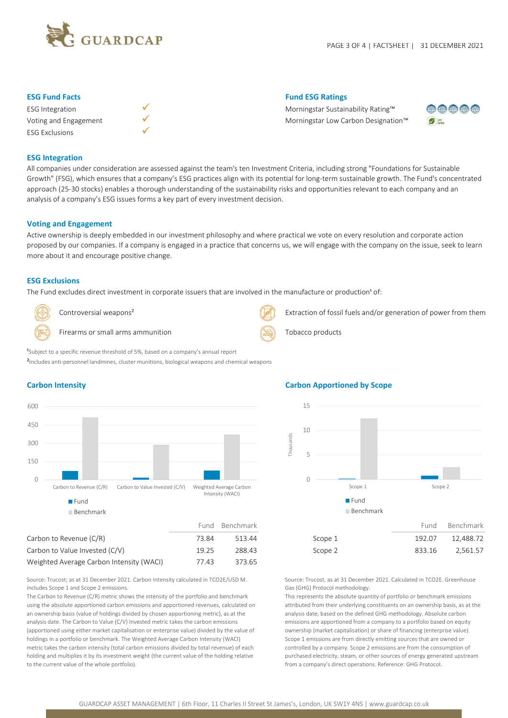

| <b>ESG</b> Integration |  |
|------------------------|--|
| Voting and Engagement  |  |
| <b>ESG Exclusions</b>  |  |



### **ESG Fund Facts** Fund ESG Ratings Fund ESG Ratings Fund ESG Ratings

Morningstar Sustainability Rating™ Morningstar Low Carbon Designation™



### ESG Integration

All companies under consideration are assessed against the team's ten Investment Criteria, including strong "Foundations for Sustainable Growth" (FSG), which ensures that a company's ESG practices align with its potential for long-term sustainable growth. The Fund's concentrated approach (25-30 stocks) enables a thorough understanding of the sustainability risks and opportunities relevant to each company and an analysis of a company's ESG issues forms a key part of every investment decision.

#### Voting and Engagement

Active ownership is deeply embedded in our investment philosophy and where practical we vote on every resolution and corporate action proposed by our companies. If a company is engaged in a practice that concerns us, we will engage with the company on the issue, seek to learn more about it and encourage positive change.

#### ESG Exclusions

The Fund excludes direct investment in corporate issuers that are involved in the manufacture or production<sup>1</sup> of:

Firearms or small arms ammunition  $\left(\sum_{i=1}^{\infty} x_i\right)$  Tobacco products

<sup>1</sup>Subject to a specific revenue threshold of 5%, based on a company's annual report

<sup>2</sup>Includes anti-personnel landmines, cluster munitions, biological weapons and chemical weapons



Controversial weapons<sup>2</sup> and the metal weapons<sup>2</sup> Extraction of fossil fuels and/or generation of power from them

 $0 \longrightarrow 0$  and  $0 \longrightarrow 0$  and  $0 \longrightarrow 0$  and  $0 \longrightarrow 0$  and  $0 \longrightarrow 0$  and  $0 \longrightarrow 0$  and  $0 \longrightarrow 0$  and  $0 \longrightarrow 0$  and  $0 \longrightarrow 0$  and  $0 \longrightarrow 0$  and  $0 \longrightarrow 0$  and  $0 \longrightarrow 0$  and  $0 \longrightarrow 0$  and  $0 \longrightarrow 0$  and  $0 \longrightarrow 0$  and  $0 \longrightarrow 0$  and  $0 \longrightarrow 0$  and  $0 \longrightarrow 0$  and  $0 \longrightarrow$ 150 300 450 600 Intensity (WACI) Fund **Fund Fund** Benchmark

## Carbon to Revenue (C/R)  $73.84$  513.44 Scope 1 192.07 12,488.72 Carbon to Value Invested (C/V)  $19.25$  288.43 Scope 2 833.16 2,561.57 Weighted Average Carbon Intensity (WACI) 77.43 373.65

Source: Trucost; as at 31 December 2021. Carbon Intensity calculated in TCO2E/USD M. Includes Scope 1 and Scope 2 emissions.

The Carbon to Revenue (C/R) metric shows the intensity of the portfolio and benchmark using the absolute apportioned carbon emissions and apportioned revenues, calculated on an ownership basis (value of holdings divided by chosen apportioning metric), as at the analysis date. The Carbon to Value (C/V) Invested metric takes the carbon emissions (apportioned using either market capitalisation or enterprise value) divided by the value of holdings in a portfolio or benchmark. The Weighted Average Carbon Intensity (WACI) metric takes the carbon intensity (total carbon emissions divided by total revenue) of each holding and multiplies it by its investment weight (the current value of the holding relative to the current value of the whole portfolio).

### Carbon Intensity Carbon Apportioned by Scope



Source: Trucost, as at 31 December 2021. Calculated in TCO2E. Greenhouse Gas (GHG) Protocol methodology.

This represents the absolute quantity of portfolio or benchmark emissions attributed from their underlying constituents on an ownership basis, as at the analysis date, based on the defined GHG methodology. Absolute carbon emissions are apportioned from a company to a portfolio based on equity ownership (market capitalisation) or share of financing (enterprise value). Scope 1 emissions are from directly emitting sources that are owned or controlled by a company. Scope 2 emissions are from the consumption of purchased electricity, steam, or other sources of energy generated upstream from a company's direct operations. Reference: GHG Protocol.